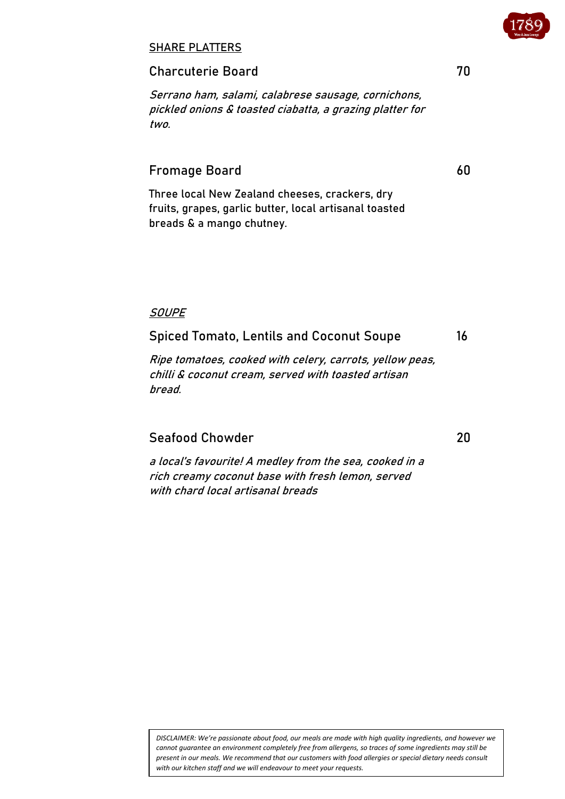#### SHARE PLATTERS

#### Charcuterie Board 70

Serrano ham, salami, calabrese sausage, cornichons, pickled onions & toasted ciabatta, a grazing platter for two.

# Fromage Board 60

Three local New Zealand cheeses, crackers, dry fruits, grapes, garlic butter, local artisanal toasted breads & a mango chutney.

#### **SOUPE**

## Spiced Tomato, Lentils and Coconut Soupe 16

Ripe tomatoes, cooked with celery, carrots, yellow peas, chilli & coconut cream, served with toasted artisan bread.

## Seafood Chowder 20

<sup>a</sup> local's favourite! A medley from the sea, cooked in a rich creamy coconut base with fresh lemon, served with chard local artisanal breads

*DISCLAIMER: We're passionate about food, our meals are made with high quality ingredients, and however we cannot guarantee an environment completely free from allergens, so traces of some ingredients may still be present in our meals. We recommend that our customers with food allergies or special dietary needs consult with our kitchen staff and we will endeavour to meet your requests.*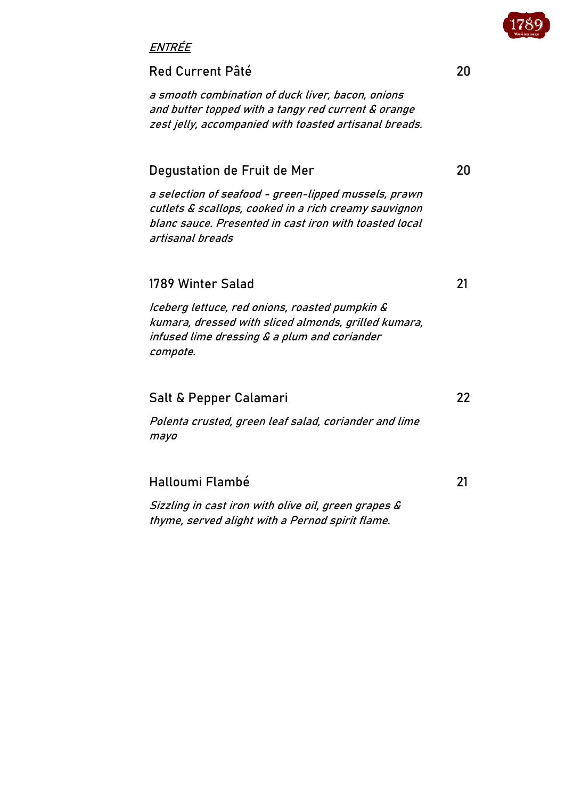

## ENTRÉE

#### Red Current Pâté 20

a smooth combination of duck liver, bacon, onions and butter topped with a tangy red current & orange zest jelly, accompanied with toasted artisanal breads.

# Degustation de Fruit de Mer 20

a selection of seafood - green-lipped mussels, prawn cutlets & scallops, cooked in a rich creamy sauvignon blanc sauce. Presented in cast iron with toasted local artisanal breads

# 1789 Winter Salad 21

Iceberg lettuce, red onions, roasted pumpkin & kumara, dressed with sliced almonds, grilled kumara, infused lime dressing & a plum and coriander compote.

## Salt & Pepper Calamari 22

Polenta crusted, green leaf salad, coriander and lime mayo

## Halloumi Flambé 21

Sizzling in cast iron with olive oil, green grapes & thyme, served alight with a Pernod spirit flame.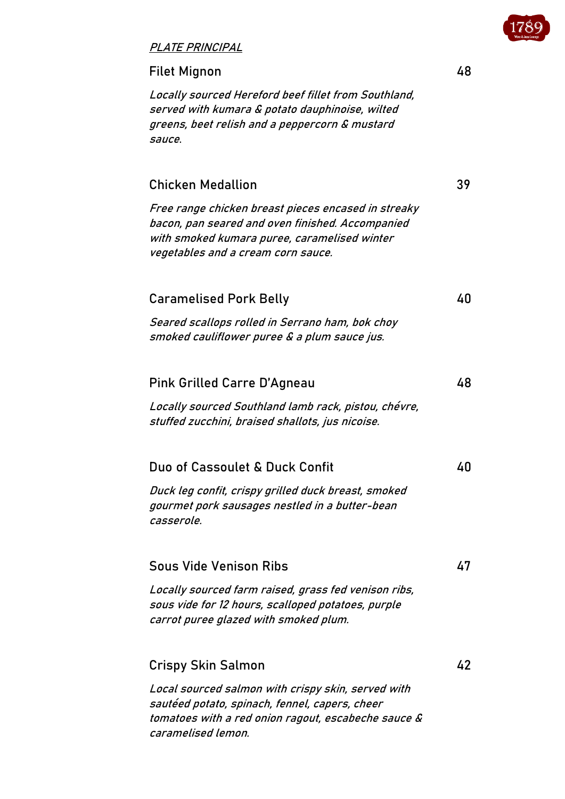

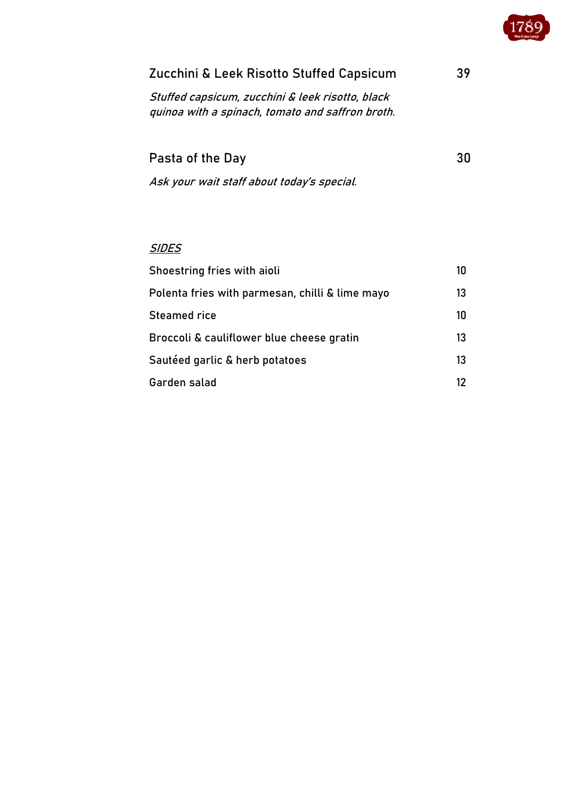

| Zucchini & Leek Risotto Stuffed Capsicum                                                             | 39 |
|------------------------------------------------------------------------------------------------------|----|
| Stuffed capsicum, zucchini & leek risotto, black<br>quinoa with a spinach, tomato and saffron broth. |    |
| Pasta of the Day                                                                                     | 30 |
| Ask your wait staff about today's special.                                                           |    |
|                                                                                                      |    |
|                                                                                                      |    |

| Shoestring fries with aioli                     | 10 |
|-------------------------------------------------|----|
| Polenta fries with parmesan, chilli & lime mayo | 13 |
| Steamed rice                                    | 10 |
| Broccoli & cauliflower blue cheese gratin       | 13 |
| Sautéed garlic & herb potatoes                  | 13 |
| Garden salad                                    | 12 |